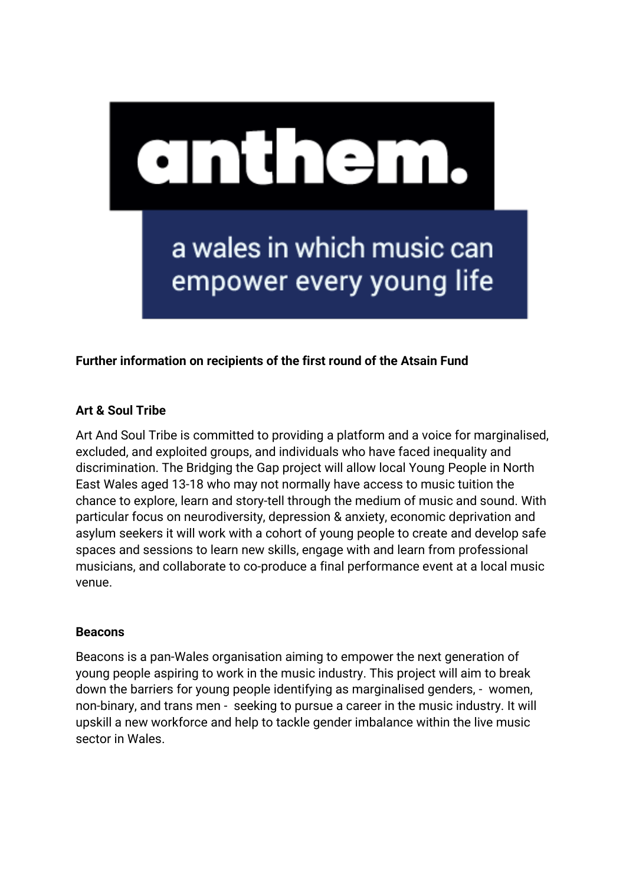

## **Further information on recipients of the first round of the Atsain Fund**

## **Art & Soul Tribe**

Art And Soul Tribe is committed to providing a platform and a voice for marginalised, excluded, and exploited groups, and individuals who have faced inequality and discrimination. The Bridging the Gap project will allow local Young People in North East Wales aged 13-18 who may not normally have access to music tuition the chance to explore, learn and story-tell through the medium of music and sound. With particular focus on neurodiversity, depression & anxiety, economic deprivation and asylum seekers it will work with a cohort of young people to create and develop safe spaces and sessions to learn new skills, engage with and learn from professional musicians, and collaborate to co-produce a final performance event at a local music venue.

#### **Beacons**

Beacons is a pan-Wales organisation aiming to empower the next generation of young people aspiring to work in the music industry. This project will aim to break down the barriers for young people identifying as marginalised genders, - women, non-binary, and trans men - seeking to pursue a career in the music industry. It will upskill a new workforce and help to tackle gender imbalance within the live music sector in Wales.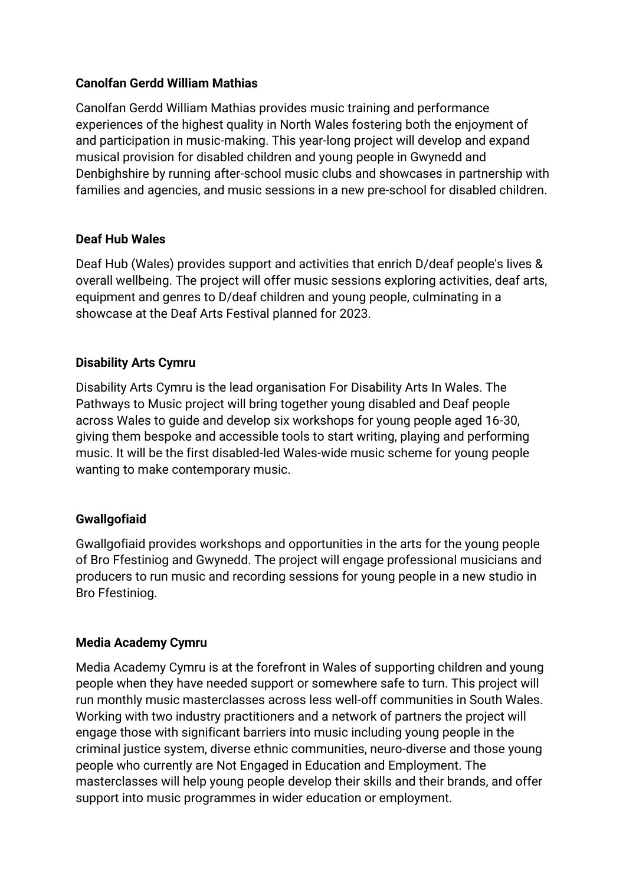### **Canolfan Gerdd William Mathias**

Canolfan Gerdd William Mathias provides music training and performance experiences of the highest quality in North Wales fostering both the enjoyment of and participation in music-making. This year-long project will develop and expand musical provision for disabled children and young people in Gwynedd and Denbighshire by running after-school music clubs and showcases in partnership with families and agencies, and music sessions in a new pre-school for disabled children.

## **Deaf Hub Wales**

Deaf Hub (Wales) provides support and activities that enrich D/deaf people's lives & overall wellbeing. The project will offer music sessions exploring activities, deaf arts, equipment and genres to D/deaf children and young people, culminating in a showcase at the Deaf Arts Festival planned for 2023.

## **Disability Arts Cymru**

Disability Arts Cymru is the lead organisation For Disability Arts In Wales. The Pathways to Music project will bring together young disabled and Deaf people across Wales to guide and develop six workshops for young people aged 16-30, giving them bespoke and accessible tools to start writing, playing and performing music. It will be the first disabled-led Wales-wide music scheme for young people wanting to make contemporary music.

### **Gwallgofiaid**

Gwallgofiaid provides workshops and opportunities in the arts for the young people of Bro Ffestiniog and Gwynedd. The project will engage professional musicians and producers to run music and recording sessions for young people in a new studio in Bro Ffestiniog.

### **Media Academy Cymru**

Media Academy Cymru is at the forefront in Wales of supporting children and young people when they have needed support or somewhere safe to turn. This project will run monthly music masterclasses across less well-off communities in South Wales. Working with two industry practitioners and a network of partners the project will engage those with significant barriers into music including young people in the criminal justice system, diverse ethnic communities, neuro-diverse and those young people who currently are Not Engaged in Education and Employment. The masterclasses will help young people develop their skills and their brands, and offer support into music programmes in wider education or employment.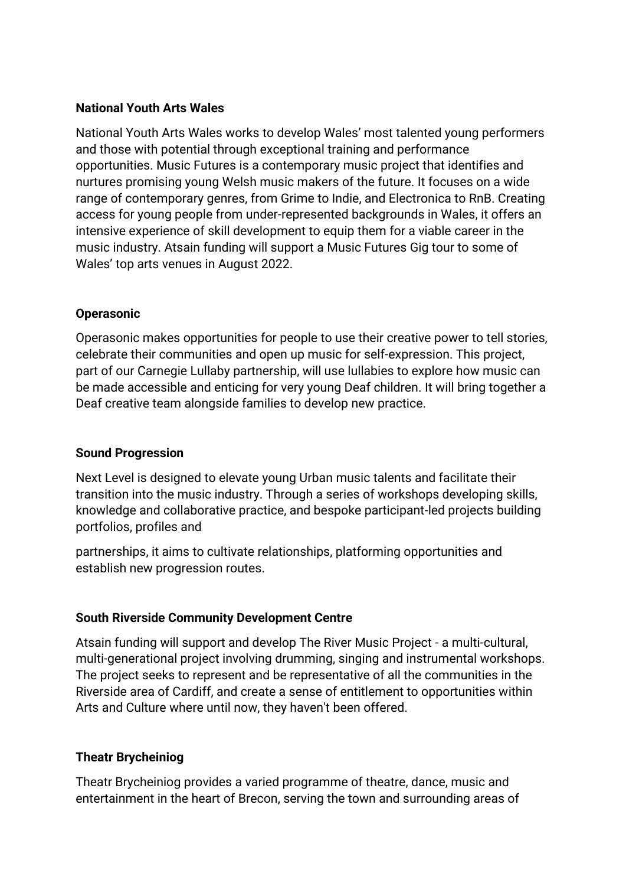### **National Youth Arts Wales**

National Youth Arts Wales works to develop Wales' most talented young performers and those with potential through exceptional training and performance opportunities. Music Futures is a contemporary music project that identifies and nurtures promising young Welsh music makers of the future. It focuses on a wide range of contemporary genres, from Grime to Indie, and Electronica to RnB. Creating access for young people from under-represented backgrounds in Wales, it offers an intensive experience of skill development to equip them for a viable career in the music industry. Atsain funding will support a Music Futures Gig tour to some of Wales' top arts venues in August 2022.

## **Operasonic**

Operasonic makes opportunities for people to use their creative power to tell stories, celebrate their communities and open up music for self-expression. This project, part of our Carnegie Lullaby partnership, will use lullabies to explore how music can be made accessible and enticing for very young Deaf children. It will bring together a Deaf creative team alongside families to develop new practice.

### **Sound Progression**

Next Level is designed to elevate young Urban music talents and facilitate their transition into the music industry. Through a series of workshops developing skills, knowledge and collaborative practice, and bespoke participant-led projects building portfolios, profiles and

partnerships, it aims to cultivate relationships, platforming opportunities and establish new progression routes.

# **South Riverside Community Development Centre**

Atsain funding will support and develop The River Music Project - a multi-cultural, multi-generational project involving drumming, singing and instrumental workshops. The project seeks to represent and be representative of all the communities in the Riverside area of Cardiff, and create a sense of entitlement to opportunities within Arts and Culture where until now, they haven't been offered.

### **Theatr Brycheiniog**

Theatr Brycheiniog provides a varied programme of theatre, dance, music and entertainment in the heart of Brecon, serving the town and surrounding areas of